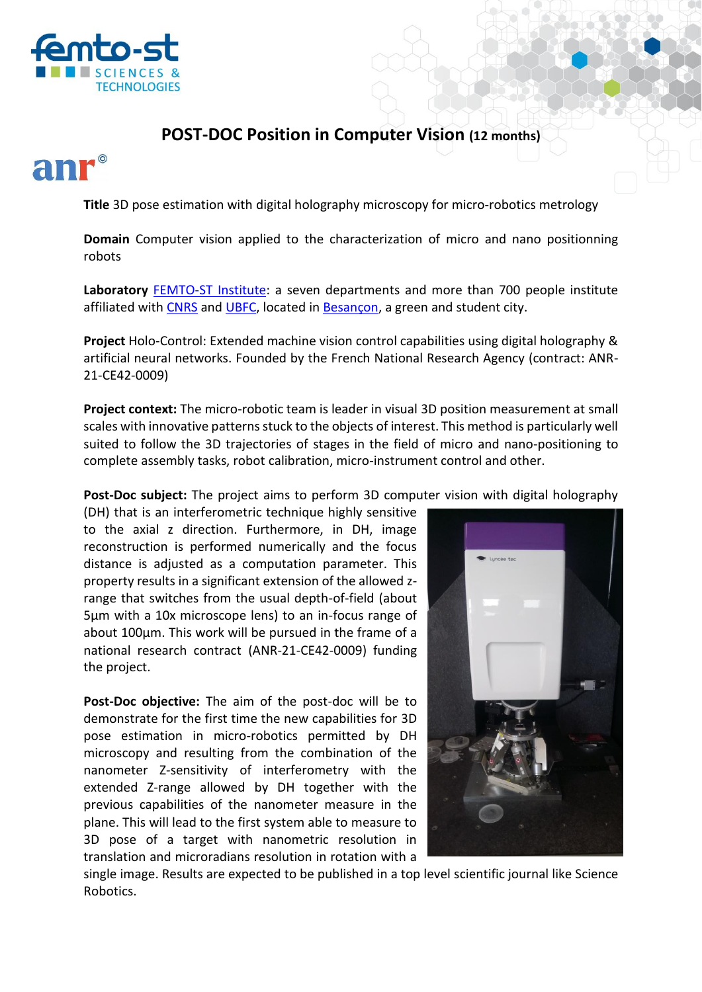

## **POST-DOC Position in Computer Vision (12 months)**

**Title** 3D pose estimation with digital holography microscopy for micro-robotics metrology

**Domain** Computer vision applied to the characterization of micro and nano positionning robots

**Laboratory** [FEMTO-ST Institute:](https://www.femto-st.fr/en) a seven departments and more than 700 people institute affiliated with [CNRS](https://www.cnrs.fr/en) and [UBFC,](https://www.ubfc.fr/en/) located in [Besançon,](https://www.besancon-tourisme.com/en/) a green and student city.

**Project** Holo-Control: Extended machine vision control capabilities using digital holography & artificial neural networks. Founded by the French National Research Agency (contract: ANR-21-CE42-0009)

**Project context:** The micro-robotic team is leader in visual 3D position measurement at small scales with innovative patterns stuck to the objects of interest. This method is particularly well suited to follow the 3D trajectories of stages in the field of micro and nano-positioning to complete assembly tasks, robot calibration, micro-instrument control and other.

**Post-Doc subject:** The project aims to perform 3D computer vision with digital holography

(DH) that is an interferometric technique highly sensitive to the axial z direction. Furthermore, in DH, image reconstruction is performed numerically and the focus distance is adjusted as a computation parameter. This property results in a significant extension of the allowed zrange that switches from the usual depth-of-field (about 5µm with a 10x microscope lens) to an in-focus range of about 100µm. This work will be pursued in the frame of a national research contract (ANR-21-CE42-0009) funding the project.

**Post-Doc objective:** The aim of the post-doc will be to demonstrate for the first time the new capabilities for 3D pose estimation in micro-robotics permitted by DH microscopy and resulting from the combination of the nanometer Z-sensitivity of interferometry with the extended Z-range allowed by DH together with the previous capabilities of the nanometer measure in the plane. This will lead to the first system able to measure to 3D pose of a target with nanometric resolution in translation and microradians resolution in rotation with a



single image. Results are expected to be published in a top level scientific journal like Science Robotics.